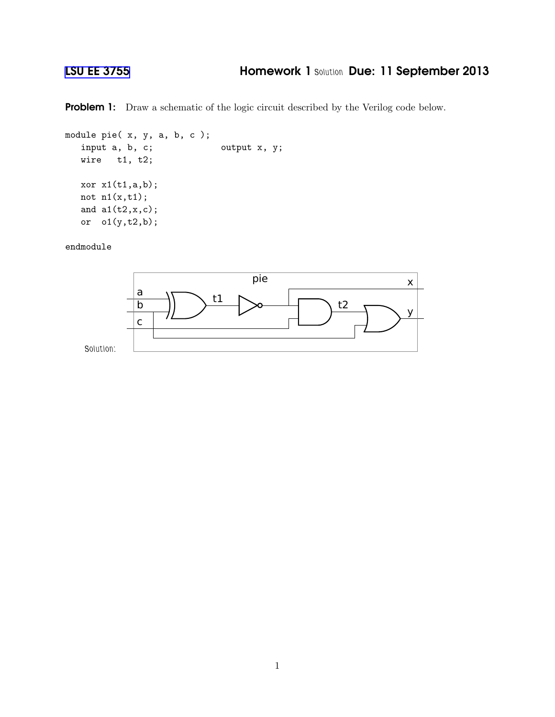## [LSU EE 3755](http://www.ece.lsu.edu/ee3755/) Homework 1 *Solution* Due: 11 September 2013

Problem 1: Draw a schematic of the logic circuit described by the Verilog code below.

```
module pie( x, y, a, b, c );
  input a, b, c; output x, y;
  wire t1, t2;
  xor x1(t1,a,b);
  not n1(x,t1);
  and a1(t2,x,c);
  or o1(y,t2,b);
```
endmodule

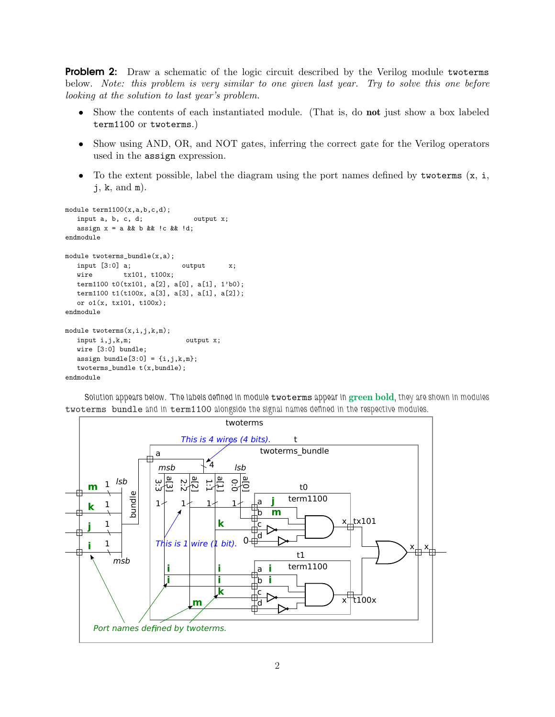**Problem 2:** Draw a schematic of the logic circuit described by the Verilog module twoterms below. Note: this problem is very similar to one given last year. Try to solve this one before looking at the solution to last year's problem.

- Show the contents of each instantiated module. (That is, do **not** just show a box labeled term1100 or twoterms.)
- Show using AND, OR, and NOT gates, inferring the correct gate for the Verilog operators used in the assign expression.
- To the extent possible, label the diagram using the port names defined by two terms  $(x, i, j)$  $j, k, and m$ .

```
module term1100(x,a,b,c,d);
   input a, b, c, d; output x;
  assign x = a & b b & c b d;
endmodule
module twoterms_bundle(x,a);
  input [3:0] a; output x;<br>wire tx101, t100x;
              tx101, t100x;
  term1100 t0(tx101, a[2], a[0], a[1], 1'b0);
  term1100 t1(t100x, a[3], a[3], a[1], a[2]);
  or o1(x, tx101, t100x);
endmodule
module twoterms(x,i,j,k,m);
  input i, j, k, m; output x;
  wire [3:0] bundle;
  assign bundle[3:0] = \{i,j,k,m\};twoterms_bundle t(x,bundle);
endmodule
```
*Solution appears below. The labels defined in module* twoterms *appear in* green bold*, they are shown in modules* twoterms bundle *and in* term1100 *alongside the signal names defined in the respective modules.*

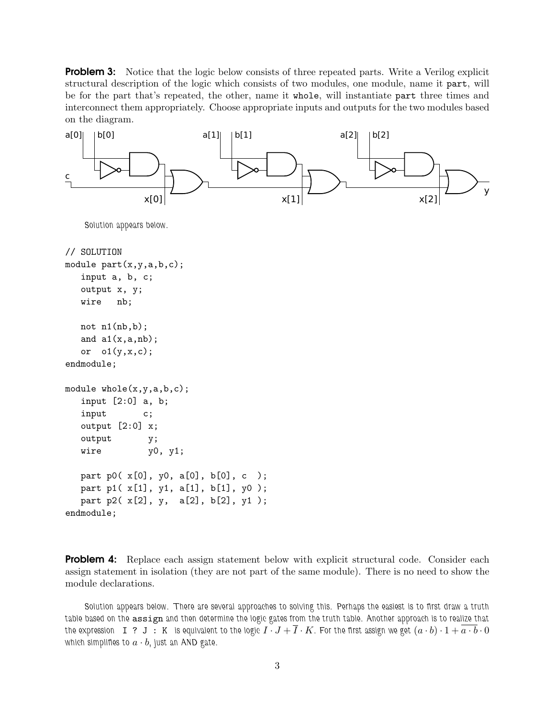**Problem 3:** Notice that the logic below consists of three repeated parts. Write a Verilog explicit structural description of the logic which consists of two modules, one module, name it part, will be for the part that's repeated, the other, name it whole, will instantiate part three times and interconnect them appropriately. Choose appropriate inputs and outputs for the two modules based on the diagram.



**Problem 4:** Replace each assign statement below with explicit structural code. Consider each assign statement in isolation (they are not part of the same module). There is no need to show the module declarations.

*Solution appears below. There are several approaches to solving this. Perhaps the easiest is to first draw a truth table based on the* assign *and then determine the logic gates from the truth table. Another approach is to realize that* the expression  $I$  ?  $J$  :  $K$  is equivalent to the logic  $I \cdot J + \overline{I} \cdot K$ . For the first assign we get  $(a \cdot b) \cdot 1 + \overline{a \cdot b} \cdot 0$ which simplifies to  $a \cdot b$ , just an AND gate.